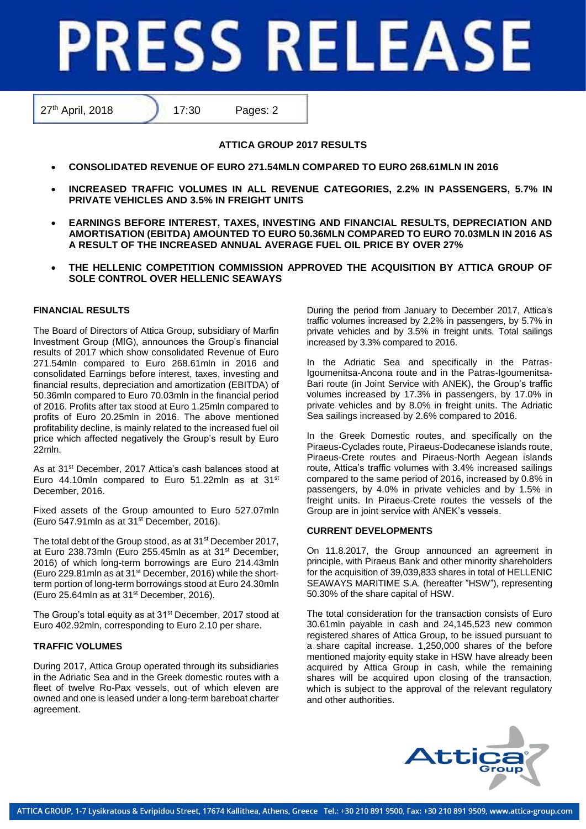# **PRESS RELEASE**

27<sup>th</sup> April, 2018 17:30 Pages: 2

# **ATTICA GROUP 2017 RESULTS**

- **CONSOLIDATED REVENUE OF EURO 271.54MLN COMPARED TO EURO 268.61MLN IN 2016**
- **INCREASED TRAFFIC VOLUMES IN ALL REVENUE CATEGORIES, 2.2% IN PASSENGERS, 5.7% IN PRIVATE VEHICLES AND 3.5% IN FREIGHT UNITS**
- **EARNINGS BEFORE INTEREST, TAXES, INVESTING AND FINANCIAL RESULTS, DEPRECIATION AND AMORTISATION (EBITDA) AMOUNTED TO EURO 50.36MLN COMPARED TO EURO 70.03MLN IN 2016 AS A RESULT OF THE INCREASED ANNUAL AVERAGE FUEL OIL PRICE BY OVER 27%**
- **THE HELLENIC COMPETITION COMMISSION APPROVED THE ACQUISITION BY ATTICA GROUP OF SOLE CONTROL OVER HELLENIC SEAWAYS**

## **FINANCIAL RESULTS**

The Board of Directors of Attica Group, subsidiary of Marfin Investment Group (MIG), announces the Group's financial results of 2017 which show consolidated Revenue of Euro 271.54mln compared to Euro 268.61mln in 2016 and consolidated Earnings before interest, taxes, investing and financial results, depreciation and amortization (EBITDA) of 50.36mln compared to Euro 70.03mln in the financial period of 2016. Profits after tax stood at Euro 1.25mln compared to profits of Euro 20.25mln in 2016. The above mentioned profitability decline, is mainly related to the increased fuel oil price which affected negatively the Group's result by Euro 22mln.

As at 31<sup>st</sup> December, 2017 Attica's cash balances stood at Euro 44.10mln compared to Euro 51.22mln as at 31<sup>st</sup> December, 2016.

Fixed assets of the Group amounted to Euro 527.07mln (Euro 547.91mln as at 31st December, 2016).

The total debt of the Group stood, as at 31<sup>st</sup> December 2017, at Euro 238.73mln (Euro 255.45mln as at 31st December, 2016) of which long-term borrowings are Euro 214.43mln (Euro 229.81mln as at 31st December, 2016) while the shortterm portion of long-term borrowings stood at Euro 24.30mln (Euro 25.64mln as at 31st December, 2016).

The Group's total equity as at 31<sup>st</sup> December, 2017 stood at Euro 402.92mln, corresponding to Euro 2.10 per share.

## **TRAFFIC VOLUMES**

During 2017, Attica Group operated through its subsidiaries in the Adriatic Sea and in the Greek domestic routes with a fleet of twelve Ro-Pax vessels, out of which eleven are owned and one is leased under a long-term bareboat charter agreement.

During the period from January to December 2017, Attica's traffic volumes increased by 2.2% in passengers, by 5.7% in private vehicles and by 3.5% in freight units. Total sailings increased by 3.3% compared to 2016.

In the Adriatic Sea and specifically in the Patras-Igoumenitsa-Ancona route and in the Patras-Igoumenitsa-Bari route (in Joint Service with ANEK), the Group's traffic volumes increased by 17.3% in passengers, by 17.0% in private vehicles and by 8.0% in freight units. The Adriatic Sea sailings increased by 2.6% compared to 2016.

In the Greek Domestic routes, and specifically on the Piraeus-Cyclades route, Piraeus-Dodecanese islands route, Piraeus-Crete routes and Piraeus-North Aegean islands route, Attica's traffic volumes with 3.4% increased sailings compared to the same period of 2016, increased by 0.8% in passengers, by 4.0% in private vehicles and by 1.5% in freight units. In Piraeus-Crete routes the vessels of the Group are in joint service with ANEK's vessels.

## **CURRENT DEVELOPMENTS**

On 11.8.2017, the Group announced an agreement in principle, with Piraeus Bank and other minority shareholders for the acquisition of 39,039,833 shares in total of HELLENIC SEAWAYS MARITIME S.A. (hereafter "HSW"), representing 50.30% of the share capital of HSW.

The total consideration for the transaction consists of Euro 30.61mln payable in cash and 24,145,523 new common registered shares of Attica Group, to be issued pursuant to a share capital increase. 1,250,000 shares of the before mentioned majority equity stake in HSW have already been acquired by Attica Group in cash, while the remaining shares will be acquired upon closing of the transaction, which is subject to the approval of the relevant regulatory and other authorities.